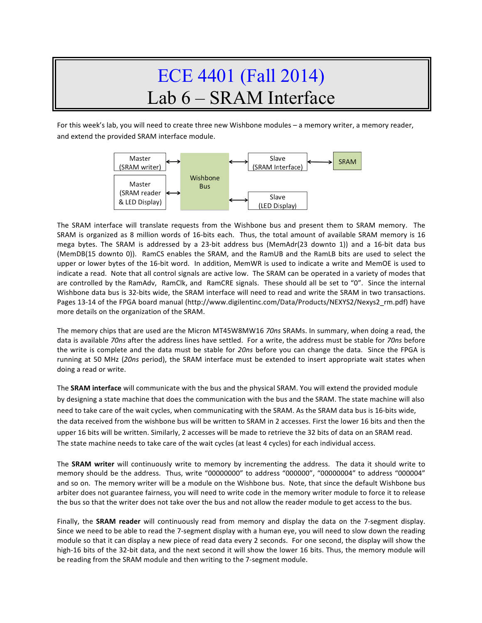## ECE 4401 (Fall 2014) Lab 6 – SRAM Interface

For this week's lab, you will need to create three new Wishbone modules - a memory writer, a memory reader, and extend the provided SRAM interface module.



The SRAM interface will translate requests from the Wishbone bus and present them to SRAM memory. The SRAM is organized as 8 million words of 16-bits each. Thus, the total amount of available SRAM memory is 16 mega bytes. The SRAM is addressed by a 23-bit address bus (MemAdr(23 downto 1)) and a 16-bit data bus (MemDB(15 downto 0)). RamCS enables the SRAM, and the RamUB and the RamLB bits are used to select the upper or lower bytes of the 16-bit word. In addition, MemWR is used to indicate a write and MemOE is used to indicate a read. Note that all control signals are active low. The SRAM can be operated in a variety of modes that are controlled by the RamAdv, RamClk, and RamCRE signals. These should all be set to "0". Since the internal Wishbone data bus is 32-bits wide, the SRAM interface will need to read and write the SRAM in two transactions. Pages 13-14 of the FPGA board manual (http://www.digilentinc.com/Data/Products/NEXYS2/Nexys2\_rm.pdf) have more details on the organization of the SRAM.

The memory chips that are used are the Micron MT45W8MW16 70ns SRAMs. In summary, when doing a read, the data is available *70ns* after the address lines have settled. For a write, the address must be stable for *70ns* before the write is complete and the data must be stable for *20ns* before you can change the data. Since the FPGA is running at 50 MHz (20ns period), the SRAM interface must be extended to insert appropriate wait states when doing a read or write.

The **SRAM interface** will communicate with the bus and the physical SRAM. You will extend the provided module by designing a state machine that does the communication with the bus and the SRAM. The state machine will also need to take care of the wait cycles, when communicating with the SRAM. As the SRAM data bus is 16-bits wide, the data received from the wishbone bus will be written to SRAM in 2 accesses. First the lower 16 bits and then the upper 16 bits will be written. Similarly, 2 accesses will be made to retrieve the 32 bits of data on an SRAM read. The state machine needs to take care of the wait cycles (at least 4 cycles) for each individual access.

The **SRAM** writer will continuously write to memory by incrementing the address. The data it should write to memory should be the address. Thus, write "00000000" to address "000000", "00000004" to address "000004" and so on. The memory writer will be a module on the Wishbone bus. Note, that since the default Wishbone bus arbiter does not guarantee fairness, you will need to write code in the memory writer module to force it to release the bus so that the writer does not take over the bus and not allow the reader module to get access to the bus.

Finally, the **SRAM reader** will continuously read from memory and display the data on the 7-segment display. Since we need to be able to read the 7-segment display with a human eye, you will need to slow down the reading module so that it can display a new piece of read data every 2 seconds. For one second, the display will show the high-16 bits of the 32-bit data, and the next second it will show the lower 16 bits. Thus, the memory module will be reading from the SRAM module and then writing to the 7-segment module.